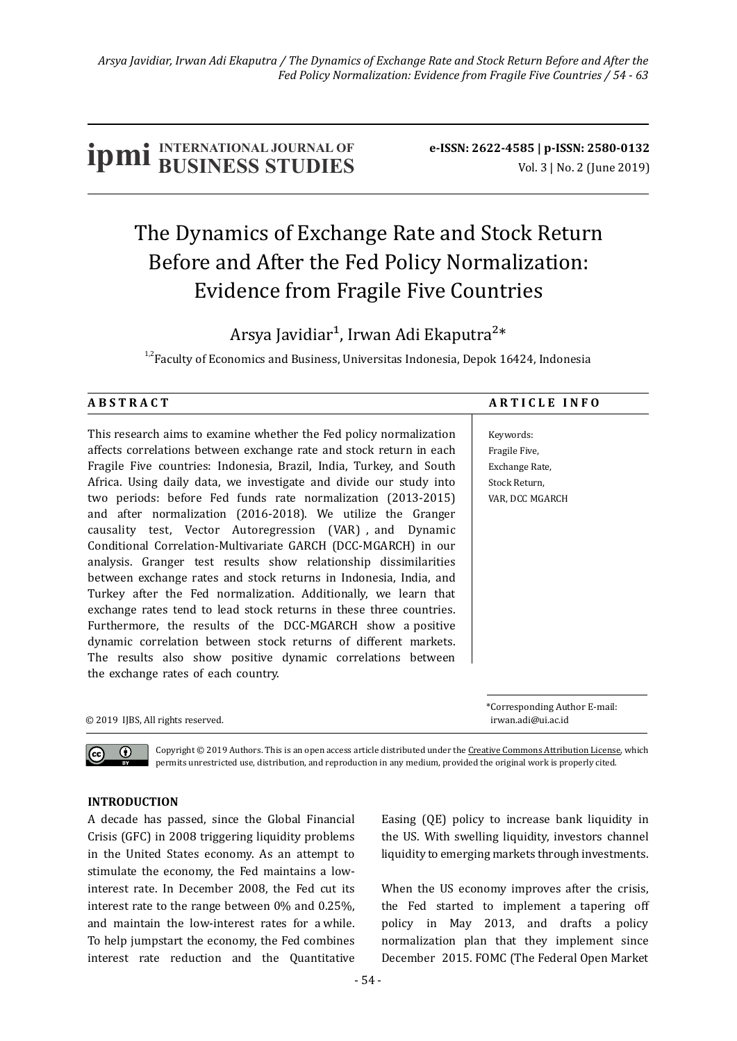# **IDMI** BUSINESS STUDIES **b**e-ISSN: 2622-4585 | p-ISSN: 2580-0132

## The Dynamics of Exchange Rate and Stock Return Before and After the Fed Policy Normalization: Evidence from Fragile Five Countries

Arsya Javidiar<sup>1</sup>, Irwan Adi Ekaputra<sup>2\*</sup>

 $1.2$ Faculty of Economics and Business, Universitas Indonesia, Depok 16424, Indonesia

#### ABSTRACT ARTICLE INFO

Keywords: Fragile Five, Exchange Rate, Stock Return, VAR, DCC MGARCH

This research aims to examine whether the Fed policy normalization affects correlations between exchange rate and stock return in each Fragile Five countries: Indonesia, Brazil, India, Turkey, and South Africa. Using daily data, we investigate and divide our study into two periods: before Fed funds rate normalization (2013-2015) and after normalization (2016-2018). We utilize the Granger causality test, Vector Autoregression (VAR) , and Dynamic Conditional Correlation-Multivariate GARCH (DCC-MGARCH) in our analysis. Granger test results show relationship dissimilarities between exchange rates and stock returns in Indonesia, India, and Turkey after the Fed normalization. Additionally, we learn that exchange rates tend to lead stock returns in these three countries. Furthermore, the results of the DCC-MGARCH show a positive dynamic correlation between stock returns of different markets. The results also show positive dynamic correlations between the exchange rates of each country.

\*Corresponding Author E-mail:

© 2019 IJBS, All rights reserved. irwan.adi@ui.ac.id

Copyright  $@$  2019 Authors. This is an open access article distributed under the Creative Commons Attribution License, which permits unrestricted use, distribution, and reproduction in any medium, provided the original work is properly cited.

### **INTRODUCTION**

 $\odot$ 

A decade has passed, since the Global Financial Crisis (GFC) in 2008 triggering liquidity problems in the United States economy. As an attempt to stimulate the economy, the Fed maintains a lowinterest rate. In December 2008, the Fed cut its interest rate to the range between  $0\%$  and  $0.25\%$ . and maintain the low-interest rates for a while. To help jumpstart the economy, the Fed combines interest rate reduction and the Quantitative Easing (OE) policy to increase bank liquidity in the US. With swelling liquidity, investors channel liquidity to emerging markets through investments.

When the US economy improves after the crisis, the Fed started to implement a tapering off policy in May 2013, and drafts a policy normalization plan that they implement since December 2015. FOMC (The Federal Open Market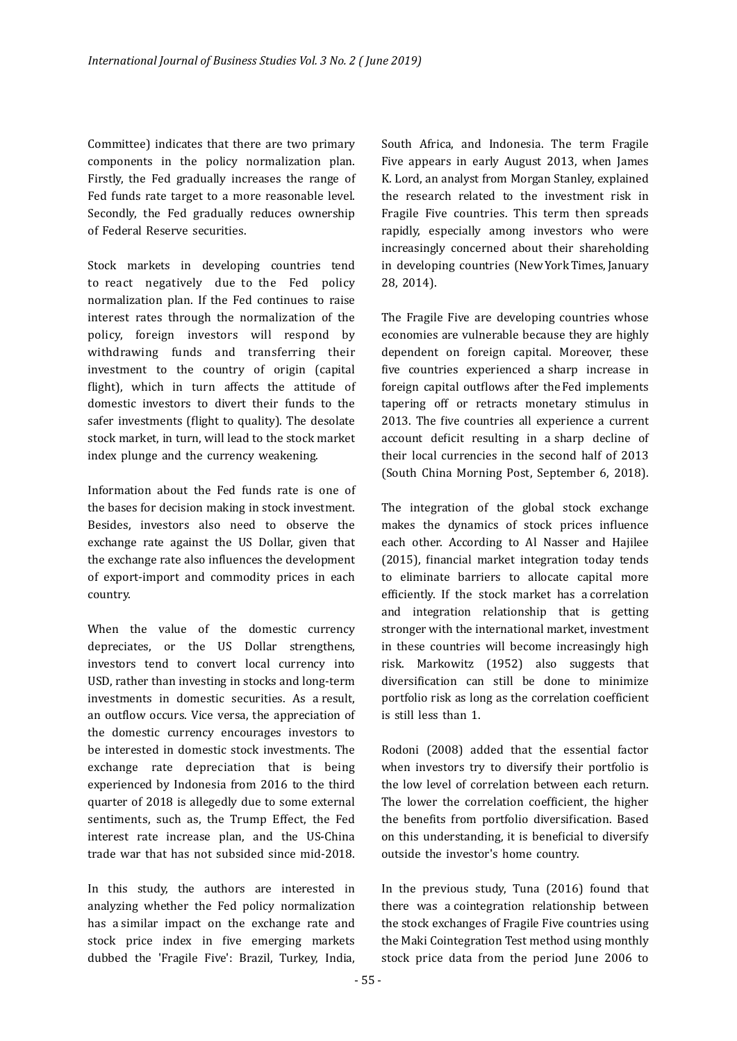Committee) indicates that there are two primary components in the policy normalization plan. Firstly, the Fed gradually increases the range of Fed funds rate target to a more reasonable level. Secondly, the Fed gradually reduces ownership of Federal Reserve securities.

Stock markets in developing countries tend to react negatively due to the Fed policy normalization plan. If the Fed continues to raise interest rates through the normalization of the policy, foreign investors will respond by withdrawing funds and transferring their investment to the country of origin (capital flight), which in turn affects the attitude of domestic investors to divert their funds to the safer investments (flight to quality). The desolate stock market, in turn, will lead to the stock market index plunge and the currency weakening.

Information about the Fed funds rate is one of the bases for decision making in stock investment. Besides, investors also need to observe the exchange rate against the US Dollar, given that the exchange rate also influences the development of export-import and commodity prices in each country.

When the value of the domestic currency depreciates, or the US Dollar strengthens, investors tend to convert local currency into USD, rather than investing in stocks and long-term investments in domestic securities. As a result, an outflow occurs. Vice versa, the appreciation of the domestic currency encourages investors to be interested in domestic stock investments. The exchange rate depreciation that is being experienced by Indonesia from 2016 to the third quarter of 2018 is allegedly due to some external sentiments, such as, the Trump Effect, the Fed interest rate increase plan, and the US-China trade war that has not subsided since mid-2018.

In this study, the authors are interested in analyzing whether the Fed policy normalization has a similar impact on the exchange rate and stock price index in five emerging markets dubbed the 'Fragile Five': Brazil, Turkey, India,

South Africa, and Indonesia. The term Fragile Five appears in early August 2013, when James K. Lord, an analyst from Morgan Stanley, explained the research related to the investment risk in Fragile Five countries. This term then spreads rapidly, especially among investors who were increasingly concerned about their shareholding in developing countries (New York Times, January 28, 2014).

The Fragile Five are developing countries whose economies are vulnerable because they are highly dependent on foreign capital. Moreover, these five countries experienced a sharp increase in foreign capital outflows after the Fed implements tapering off or retracts monetary stimulus in 2013. The five countries all experience a current account deficit resulting in a sharp decline of their local currencies in the second half of 2013 (South China Morning Post, September 6, 2018).

The integration of the global stock exchange makes the dynamics of stock prices influence each other. According to Al Nasser and Hajilee (2015), financial market integration today tends to eliminate barriers to allocate capital more efficiently. If the stock market has a correlation and integration relationship that is getting stronger with the international market, investment in these countries will become increasingly high risk. Markowitz (1952) also suggests that diversification can still be done to minimize portfolio risk as long as the correlation coefficient is still less than 1.

Rodoni (2008) added that the essential factor when investors try to diversify their portfolio is the low level of correlation between each return. The lower the correlation coefficient, the higher the benefits from portfolio diversification. Based on this understanding, it is beneficial to diversify outside the investor's home country.

In the previous study, Tuna  $(2016)$  found that there was a cointegration relationship between the stock exchanges of Fragile Five countries using the Maki Cointegration Test method using monthly stock price data from the period June 2006 to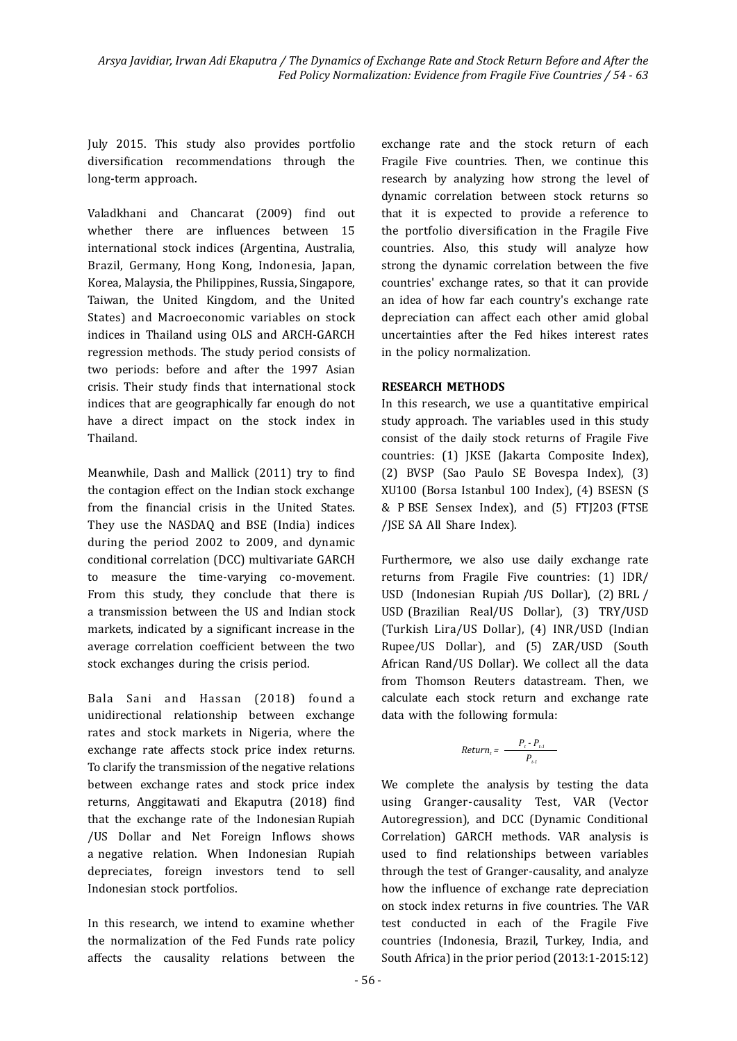July 2015. This study also provides portfolio diversification recommendations through the long-term approach.

Valadkhani and Chancarat (2009) find out whether there are influences between 15 international stock indices (Argentina, Australia, Brazil, Germany, Hong Kong, Indonesia, Japan, Korea, Malaysia, the Philippines, Russia, Singapore, Taiwan, the United Kingdom, and the United States) and Macroeconomic variables on stock indices in Thailand using OLS and ARCH-GARCH regression methods. The study period consists of two periods: before and after the 1997 Asian crisis. Their study finds that international stock indices that are geographically far enough do not have a direct impact on the stock index in Thailand.

Meanwhile, Dash and Mallick (2011) try to find the contagion effect on the Indian stock exchange from the financial crisis in the United States. They use the NASDAQ and BSE (India) indices during the period 2002 to 2009, and dynamic conditional correlation (DCC) multivariate GARCH to measure the time-varying co-movement. From this study, they conclude that there is a transmission between the US and Indian stock markets, indicated by a significant increase in the average correlation coefficient between the two stock exchanges during the crisis period.

Bala Sani and Hassan (2018) found a unidirectional relationship between exchange rates and stock markets in Nigeria, where the exchange rate affects stock price index returns. To clarify the transmission of the negative relations between exchange rates and stock price index returns, Anggitawati and Ekaputra (2018) find that the exchange rate of the Indonesian Rupiah /US Dollar and Net Foreign Inflows shows a negative relation. When Indonesian Rupiah depreciates, foreign investors tend to sell Indonesian stock portfolios.

In this research, we intend to examine whether the normalization of the Fed Funds rate policy affects the causality relations between the exchange rate and the stock return of each Fragile Five countries. Then, we continue this research by analyzing how strong the level of dynamic correlation between stock returns so that it is expected to provide a reference to the portfolio diversification in the Fragile Five countries. Also, this study will analyze how strong the dynamic correlation between the five countries' exchange rates, so that it can provide an idea of how far each country's exchange rate depreciation can affect each other amid global uncertainties after the Fed hikes interest rates in the policy normalization.

#### **RESEARCH METHODS**

In this research, we use a quantitative empirical study approach. The variables used in this study consist of the daily stock returns of Fragile Five countries: (1) JKSE (Jakarta Composite Index), (2) BVSP (Sao Paulo SE Bovespa Index), (3) XU100 (Borsa Istanbul 100 Index), (4) BSESN (S & P BSE Sensex Index), and (5) FTJ203 (FTSE /JSE SA All Share Index).

Furthermore, we also use daily exchange rate returns from Fragile Five countries: (1) IDR/ USD (Indonesian Rupiah /US Dollar), (2) BRL / USD (Brazilian Real/US Dollar), (3) TRY/USD (Turkish Lira/US Dollar), (4) INR/USD (Indian Rupee/US Dollar), and (5) ZAR/USD (South African Rand/US Dollar). We collect all the data from Thomson Reuters datastream. Then, we calculate each stock return and exchange rate data with the following formula:

$$
Return_t = \frac{P_t - P_{t-1}}{P_{t-1}}
$$

We complete the analysis by testing the data using Granger-causality Test, VAR (Vector Autoregression), and DCC (Dynamic Conditional Correlation) GARCH methods. VAR analysis is used to find relationships between variables through the test of Granger-causality, and analyze how the influence of exchange rate depreciation on stock index returns in five countries. The VAR test conducted in each of the Fragile Five countries (Indonesia, Brazil, Turkey, India, and South Africa) in the prior period (2013:1-2015:12)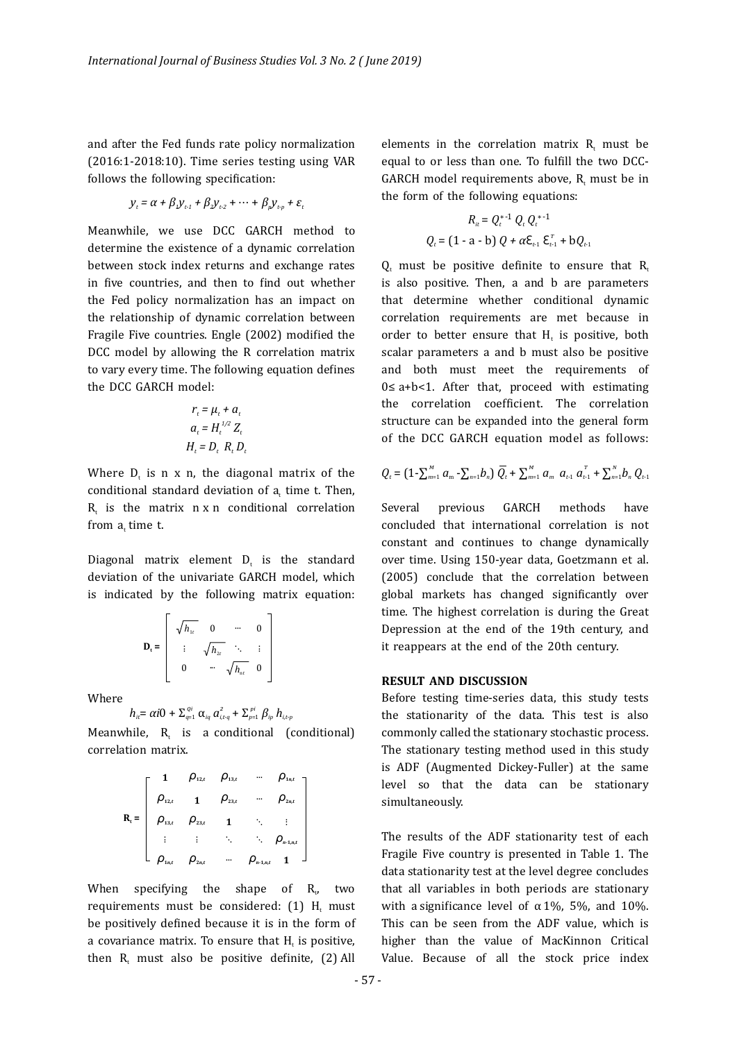and after the Fed funds rate policy normalization  $(2016:1-2018:10)$ . Time series testing using VAR follows the following specification:

$$
y_t = \alpha + \beta_1 y_{t-1} + \beta_2 y_{t-2} + \dots + \beta_n y_{t-n} + \varepsilon_t
$$

Meanwhile, we use DCC GARCH method to determine the existence of a dynamic correlation between stock index returns and exchange rates in five countries, and then to find out whether the Fed policy normalization has an impact on the relationship of dynamic correlation between Fragile Five countries. Engle (2002) modified the DCC model by allowing the R correlation matrix to vary every time. The following equation defines the DCC GARCH model:

$$
r_t = \mu_t + a_t
$$
  
\n
$$
a_t = H_t^{1/2} Z_t
$$
  
\n
$$
H_t = D_t R_t D_t
$$

Where  $D_t$  is n x n, the diagonal matrix of the conditional standard deviation of  $a_t$  time t. Then,  $R<sub>r</sub>$  is the matrix  $n \times n$  conditional correlation from  $a_t$  time t.

Diagonal matrix element  $D_t$  is the standard deviation of the univariate GARCH model, which is indicated by the following matrix equation:

$$
\mathbf{D}_{\mathsf{t}} = \left[ \begin{array}{cccc} \sqrt{h_{1\mathsf{t}}} & 0 & \cdots & 0 \\ \vdots & \sqrt{h_{2\mathsf{t}}} & \ddots & \vdots \\ 0 & \cdots & \sqrt{h_{n\mathsf{t}}} & 0 \end{array} \right]
$$

Where

$$
h_{it} = \alpha i0 + \sum_{q=1}^{Qi} \alpha_{iq} a_{i,t-q}^2 + \sum_{p=1}^{pi} \beta_{ip} h_{i,t-p}
$$

Meanwhile,  $R_t$  is a conditional (conditional) correlation matrix.

$$
R_{t} = \begin{bmatrix} 1 & \rho_{12,t} & \rho_{13,t} & \cdots & \rho_{1n,t} \\ \rho_{12,t} & 1 & \rho_{23,t} & \cdots & \rho_{2n,t} \\ \rho_{13,t} & \rho_{23,t} & 1 & \ddots & \vdots \\ \vdots & \vdots & \ddots & \ddots & \rho_{n1,n,t} \\ \rho_{1n,t} & \rho_{2n,t} & \cdots & \rho_{n1,n,t} & 1 \end{bmatrix}
$$

When specifying the shape of  $R_{1}$ , two requirements must be considered:  $(1)$  H<sub>t</sub> must be positively defined because it is in the form of a covariance matrix. To ensure that H is positive, then  $R_t$  must also be positive definite, (2) All

elements in the correlation matrix  $R$ , must be equal to or less than one. To fulfill the two DCC-GARCH model requirements above,  $R$ , must be in the form of the following equations:

$$
R_{it} = Q_t^{*-1} Q_t Q_t^{*-1}
$$
  

$$
Q_t = (1 - a - b) Q + \alpha \varepsilon_{t-1} \varepsilon_{t-1}^T + b Q_{t-1}
$$

 $Q$ , must be positive definite to ensure that  $R$ . is also positive. Then, a and b are parameters that determine whether conditional dynamic correlation requirements are met because in order to better ensure that  $H_t$  is positive, both scalar parameters a and b must also be positive and both must meet the requirements of 0≤ a+b<1. After that, proceed with estimating the correlation coeficient. The correlation structure can be expanded into the general form of the DCC GARCH equation model as follows:

$$
Q_{t} = (1 - \sum_{m=1}^{M} a_{m} - \sum_{n=1}^{M} b_{n}) \overline{Q}_{t} + \sum_{m=1}^{M} a_{m} a_{t-1} a_{t-1}^{T} + \sum_{n=1}^{N} b_{n} Q_{t-1}
$$

Several previous GARCH methods have concluded that international correlation is not constant and continues to change dynamically over time. Using 150-year data, Goetzmann et al. (2005) conclude that the correlation between global markets has changed significantly over time. The highest correlation is during the Great Depression at the end of the 19th century, and it reappears at the end of the 20th century.

#### **RESULT AND DISCUSSION**

Before testing time-series data, this study tests the stationarity of the data. This test is also commonly called the stationary stochastic process. The stationary testing method used in this study is ADF (Augmented Dickey-Fuller) at the same level so that the data can be stationary simultaneously.

The results of the ADF stationarity test of each Fragile Five country is presented in Table 1. The data stationarity test at the level degree concludes that all variables in both periods are stationary with a significance level of  $\alpha$  1%, 5%, and 10%. This can be seen from the ADF value, which is higher than the value of MacKinnon Critical Value. Because of all the stock price index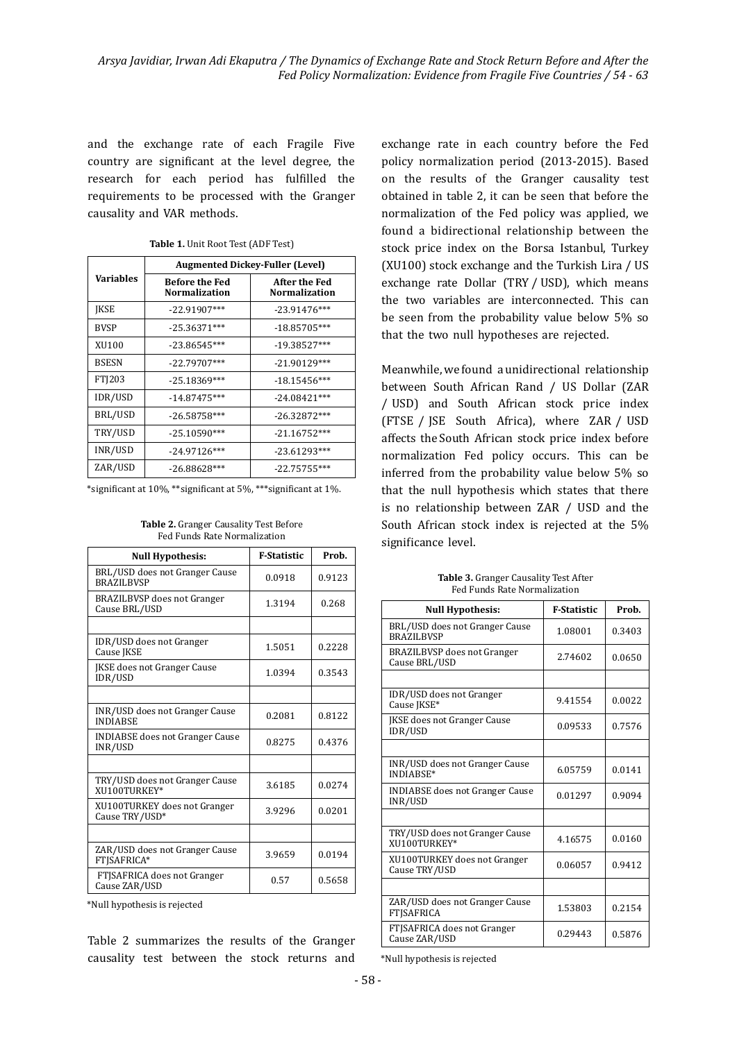and the exchange rate of each Fragile Five country are significant at the level degree, the research for each period has fulfilled the requirements to be processed with the Granger causality and VAR methods.

|                  | <b>Augmented Dickey-Fuller (Level)</b> |                                       |  |
|------------------|----------------------------------------|---------------------------------------|--|
| <b>Variables</b> | <b>Before the Fed</b><br>Normalization | After the Fed<br><b>Normalization</b> |  |
| <b>IKSE</b>      | $-22.91907***$                         | $-23.91476***$                        |  |
| <b>BVSP</b>      | $-25.36371***$                         | $-18.85705***$                        |  |
| XU100            | $-23.86545***$                         | $-19.38527***$                        |  |
| <b>BSESN</b>     | $-22.79707***$                         | $-21.90129***$                        |  |
| FTI203           | $-25.18369***$                         | $-18.15456***$                        |  |
| IDR/USD          | $-14.87475***$                         | $-24.08421***$                        |  |
| BRL/USD          | $-26.58758***$                         | $-26.32872***$                        |  |
| TRY/USD          | $-25.10590***$                         | $-21.16752***$                        |  |
| INR/USD          | $-24.97126***$                         | $-23.61293***$                        |  |
| ZAR/USD          | $-26.88628***$                         | $-22.75755***$                        |  |

#### Table 1. Unit Root Test (ADF Test)

\*significant at 10%, \*\*significant at 5%, \*\*\*significant at 1%.

**Table 2.** Granger Causality Test Before Fed Funds Rate Normalization

| <b>Null Hypothesis:</b>                             | <b>F-Statistic</b> | Prob.  |
|-----------------------------------------------------|--------------------|--------|
| BRL/USD does not Granger Cause<br><b>BRAZILBVSP</b> | 0.0918             | 0.9123 |
| <b>BRAZILBVSP</b> does not Granger<br>Cause BRL/USD | 1.3194             | 0.268  |
|                                                     |                    |        |
| IDR/USD does not Granger<br>Cause JKSE              | 1.5051             | 0.2228 |
| JKSE does not Granger Cause<br>IDR/USD              | 1.0394             | 0.3543 |
|                                                     |                    |        |
| INR/USD does not Granger Cause<br><b>INDIABSE</b>   | 0.2081             | 0.8122 |
| <b>INDIABSE</b> does not Granger Cause<br>INR/USD   | 0.8275             | 0.4376 |
|                                                     |                    |        |
| TRY/USD does not Granger Cause<br>XII100TURKEY*     | 3.6185             | 0.0274 |
| XU100TURKEY does not Granger<br>Cause TRY/USD*      | 3.9296             | 0.0201 |
|                                                     |                    |        |
| ZAR/USD does not Granger Cause<br>FTJSAFRICA*       | 3.9659             | 0.0194 |
| FTJSAFRICA does not Granger<br>Cause ZAR/USD        | 0.57               | 0.5658 |

\*Null hypothesis is rejected

Table 2 summarizes the results of the Granger causality test between the stock returns and  exchange rate in each country before the Fed policy normalization period (2013-2015). Based on the results of the Granger causality test obtained in table 2, it can be seen that before the normalization of the Fed policy was applied, we found a bidirectional relationship between the stock price index on the Borsa Istanbul, Turkey (XU100) stock exchange and the Turkish Lira / US exchange rate Dollar (TRY / USD), which means the two variables are interconnected. This can be seen from the probability value below 5% so that the two null hypotheses are rejected.

Meanwhile, we found a unidirectional relationship between South African Rand / US Dollar (ZAR / USD) and South African stock price index (FTSE / JSE South Africa), where ZAR / USD affects the South African stock price index before normalization Fed policy occurs. This can be inferred from the probability value below  $5\%$  so that the null hypothesis which states that there is no relationship between ZAR / USD and the South African stock index is rejected at the 5% significance level.

| <b>Null Hypothesis:</b>                             | <b>F-Statistic</b> | Prob.  |
|-----------------------------------------------------|--------------------|--------|
| BRL/USD does not Granger Cause<br><b>BRAZILBVSP</b> | 1.08001            | 0.3403 |
| <b>BRAZILBVSP</b> does not Granger<br>Cause BRL/USD | 2.74602            | 0.0650 |
|                                                     |                    |        |
| IDR/USD does not Granger<br>Cause JKSE*             | 9.41554            | 0.0022 |
| <b>IKSE</b> does not Granger Cause<br>IDR/USD       | 0.09533            | 0.7576 |
|                                                     |                    |        |
| INR/USD does not Granger Cause<br>INDIARSE*         | 6.05759            | 0.0141 |
| <b>INDIABSE does not Granger Cause</b><br>INR/USD   | 0.01297            | 0.9094 |
|                                                     |                    |        |
| TRY/USD does not Granger Cause<br>XII100TURKEY*     | 4.16575            | 0.0160 |
| XU100TURKEY does not Granger<br>Cause TRY/USD       | 0.06057            | 0.9412 |
|                                                     |                    |        |
| ZAR/USD does not Granger Cause<br><b>FTISAFRICA</b> | 1.53803            | 0.2154 |
| FTISAFRICA does not Granger<br>Cause ZAR/USD        | 0.29443            | 0.5876 |

Table 3. Granger Causality Test After Fed Funds Rate Normalization

\*Null hypothesis is rejected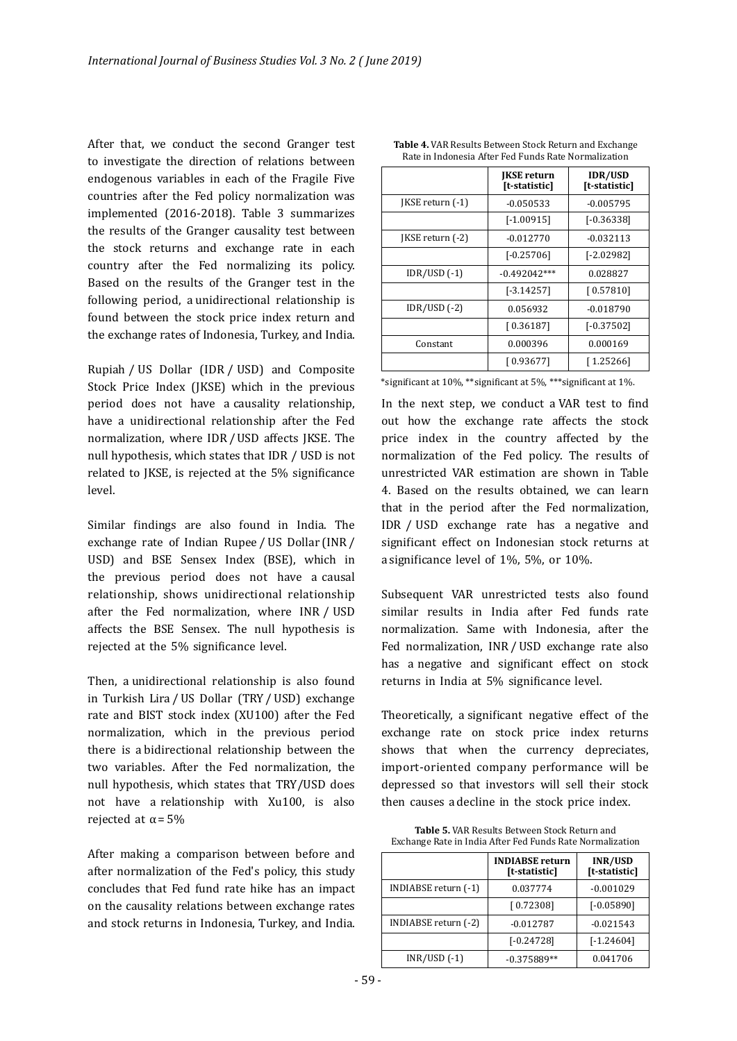After that, we conduct the second Granger test to investigate the direction of relations between endogenous variables in each of the Fragile Five countries after the Fed policy normalization was implemented (2016-2018). Table 3 summarizes the results of the Granger causality test between the stock returns and exchange rate in each country after the Fed normalizing its policy. Based on the results of the Granger test in the following period, a unidirectional relationship is found between the stock price index return and the exchange rates of Indonesia, Turkey, and India.

Rupiah / US Dollar (IDR / USD) and Composite Stock Price Index (JKSE) which in the previous period does not have a causality relationship, have a unidirectional relationship after the Fed normalization, where IDR / USD affects JKSE. The null hypothesis, which states that IDR / USD is not related to JKSE, is rejected at the  $5\%$  significance level.

Similar findings are also found in India. The exchange rate of Indian Rupee / US Dollar (INR / USD) and BSE Sensex Index (BSE), which in the previous period does not have a causal relationship, shows unidirectional relationship after the Fed normalization, where INR / USD affects the BSE Sensex. The null hypothesis is rejected at the 5% significance level.

Then, a unidirectional relationship is also found in Turkish Lira / US Dollar (TRY / USD) exchange rate and BIST stock index (XU100) after the Fed normalization, which in the previous period there is a bidirectional relationship between the two variables. After the Fed normalization, the null hypothesis, which states that TRY/USD does not have a relationship with Xu100, is also rejected at  $\alpha$  = 5%

After making a comparison between before and after normalization of the Fed's policy, this study concludes that Fed fund rate hike has an impact on the causality relations between exchange rates and stock returns in Indonesia, Turkey, and India.

|                  | <b>IKSE</b> return<br>[t-statistic] | <b>IDR/USD</b><br>[t-statistic] |
|------------------|-------------------------------------|---------------------------------|
| [KSE return (-1) | $-0.050533$                         | $-0.005795$                     |
|                  | $[-1.00915]$                        | $[-0.36338]$                    |
| JKSE return (-2) | $-0.012770$                         | $-0.032113$                     |
|                  | $[-0.25706]$                        | $[-2.02982]$                    |
| $IDR/USD$ $(-1)$ | $-0.492042***$                      | 0.028827                        |
|                  | $[-3.14257]$                        | [0.57810]                       |
| $IDR/USD$ $(-2)$ | 0.056932                            | $-0.018790$                     |
|                  | [0.36187]                           | $[-0.37502]$                    |
| Constant         | 0.000396                            | 0.000169                        |
|                  | [ 0.93677]                          | [1.25266]                       |

**Table 4.** VAR Results Between Stock Return and Exchange Rate in Indonesia After Fed Funds Rate Normalization

\*significant at 10%, \*\*significant at 5%, \*\*\*significant at 1%.

In the next step, we conduct a VAR test to find out how the exchange rate affects the stock price index in the country affected by the normalization of the Fed policy. The results of unrestricted VAR estimation are shown in Table 4. Based on the results obtained, we can learn that in the period after the Fed normalization, IDR / USD exchange rate has a negative and significant effect on Indonesian stock returns at a significance level of  $1\%$ ,  $5\%$ , or  $10\%$ .

Subsequent VAR unrestricted tests also found similar results in India after Fed funds rate normalization. Same with Indonesia, after the Fed normalization, INR / USD exchange rate also has a negative and significant effect on stock returns in India at 5% significance level.

Theoretically, a significant negative effect of the exchange rate on stock price index returns shows that when the currency depreciates, import-oriented company performance will be depressed so that investors will sell their stock then causes a decline in the stock price index.

**Table 5.** VAR Results Between Stock Return and Exchange Rate in India After Fed Funds Rate Normalization

|                      | <b>INDIABSE</b> return<br>[t-statistic] | INR/USD<br>[t-statistic] |
|----------------------|-----------------------------------------|--------------------------|
| INDIABSE return (-1) | 0.037774                                | $-0.001029$              |
|                      | [0.72308]                               | $[-0.05890]$             |
| INDIABSE return (-2) | $-0.012787$                             | $-0.021543$              |
|                      | $[-0.24728]$                            | $[-1.24604]$             |
| $INR/USD$ $(-1)$     | $-0.375889**$                           | 0.041706                 |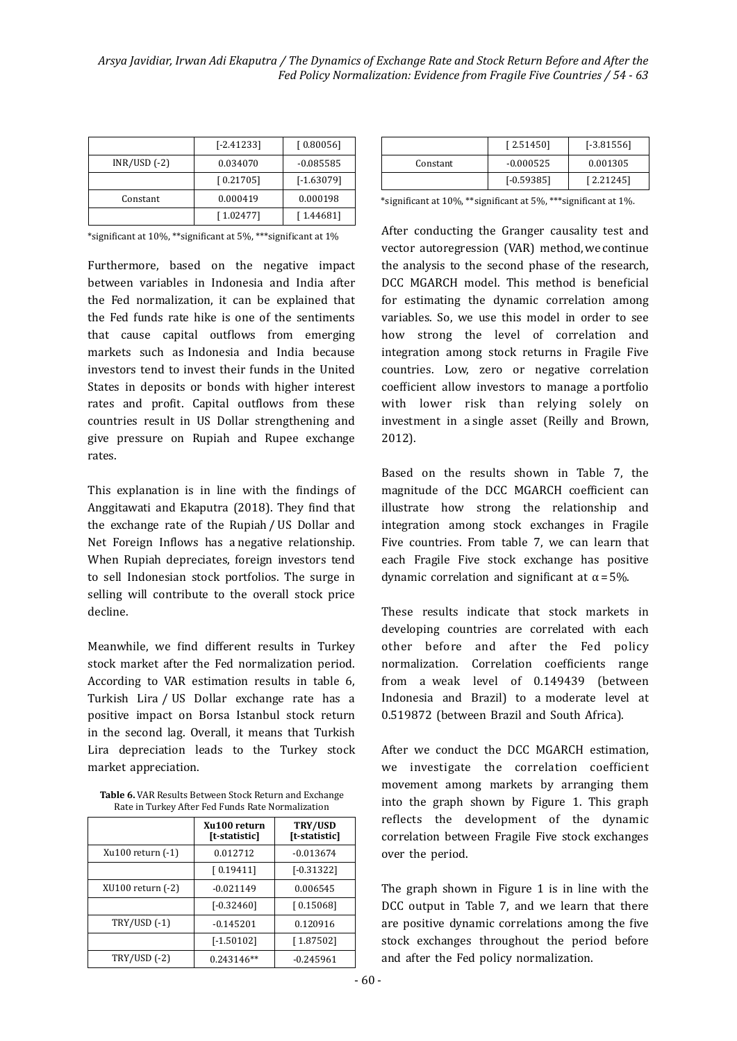|                  | $[-2.41233]$ | [0.80056]    |
|------------------|--------------|--------------|
| $INR/USD$ $(-2)$ | 0.034070     | $-0.085585$  |
|                  | [0.21705]    | $[-1.63079]$ |
| Constant         | 0.000419     | 0.000198     |
|                  | [1.02477]    | [1.44681]    |

\*significant at 10%, \*\*significant at 5%, \*\*\*significant at 1%

Furthermore, based on the negative impact between variables in Indonesia and India after the Fed normalization, it can be explained that the Fed funds rate hike is one of the sentiments that cause capital outflows from emerging markets such as Indonesia and India because investors tend to invest their funds in the United States in deposits or bonds with higher interest rates and profit. Capital outflows from these countries result in US Dollar strengthening and give pressure on Rupiah and Rupee exchange rates.

This explanation is in line with the findings of Anggitawati and Ekaputra (2018). They find that the exchange rate of the Rupiah / US Dollar and Net Foreign Inflows has a negative relationship. When Rupiah depreciates, foreign investors tend to sell Indonesian stock portfolios. The surge in selling will contribute to the overall stock price decline.

Meanwhile, we find different results in Turkey stock market after the Fed normalization period. According to VAR estimation results in table 6, Turkish Lira / US Dollar exchange rate has a positive impact on Borsa Istanbul stock return in the second lag. Overall, it means that Turkish Lira depreciation leads to the Turkey stock market appreciation.

**Table 6.** VAR Results Between Stock Return and Exchange Rate in Turkey After Fed Funds Rate Normalization

|                       | Xu100 return<br>[t-statistic] | TRY/USD<br>[t-statistic] |
|-----------------------|-------------------------------|--------------------------|
| Xu100 return (-1)     | 0.012712                      | $-0.013674$              |
|                       | [0.19411]                     | $[-0.31322]$             |
| $XU100$ return $(-2)$ | $-0.021149$                   | 0.006545                 |
|                       | $[-0.32460]$                  | [0.15068]                |
| TRY/USD (-1)          | $-0.145201$                   | 0.120916                 |
|                       | $[-1.50102]$                  | [1.87502]                |
| TRY/USD (-2)          | 0.243146**                    | $-0.245961$              |

|          | [2.51450]    | $[-3.81556]$ |
|----------|--------------|--------------|
| Constant | $-0.000525$  | 0.001305     |
|          | $[-0.59385]$ | [2.21245]    |

\*significant at  $10\%$ , \*\*significant at  $5\%$ , \*\*\*significant at  $1\%$ .

After conducting the Granger causality test and vector autoregression (VAR) method, we continue the analysis to the second phase of the research, DCC MGARCH model. This method is beneficial for estimating the dynamic correlation among variables. So, we use this model in order to see how strong the level of correlation and integration among stock returns in Fragile Five countries. Low, zero or negative correlation coefficient allow investors to manage a portfolio with lower risk than relying solely on investment in a single asset (Reilly and Brown, 2012).

Based on the results shown in Table 7, the magnitude of the DCC MGARCH coefficient can illustrate how strong the relationship and integration among stock exchanges in Fragile Five countries. From table 7, we can learn that each Fragile Five stock exchange has positive dynamic correlation and significant at  $\alpha$  = 5%.

These results indicate that stock markets in developing countries are correlated with each other before and after the Fed policy normalization. Correlation coefficients range from a weak level of 0.149439 (between Indonesia and Brazil) to a moderate level at 0.519872 (between Brazil and South Africa).

After we conduct the DCC MGARCH estimation, we investigate the correlation coeficient movement among markets by arranging them into the graph shown by Figure 1. This graph reflects the development of the dynamic correlation between Fragile Five stock exchanges over the period.

The graph shown in Figure 1 is in line with the DCC output in Table 7, and we learn that there are positive dynamic correlations among the five stock exchanges throughout the period before and after the Fed policy normalization.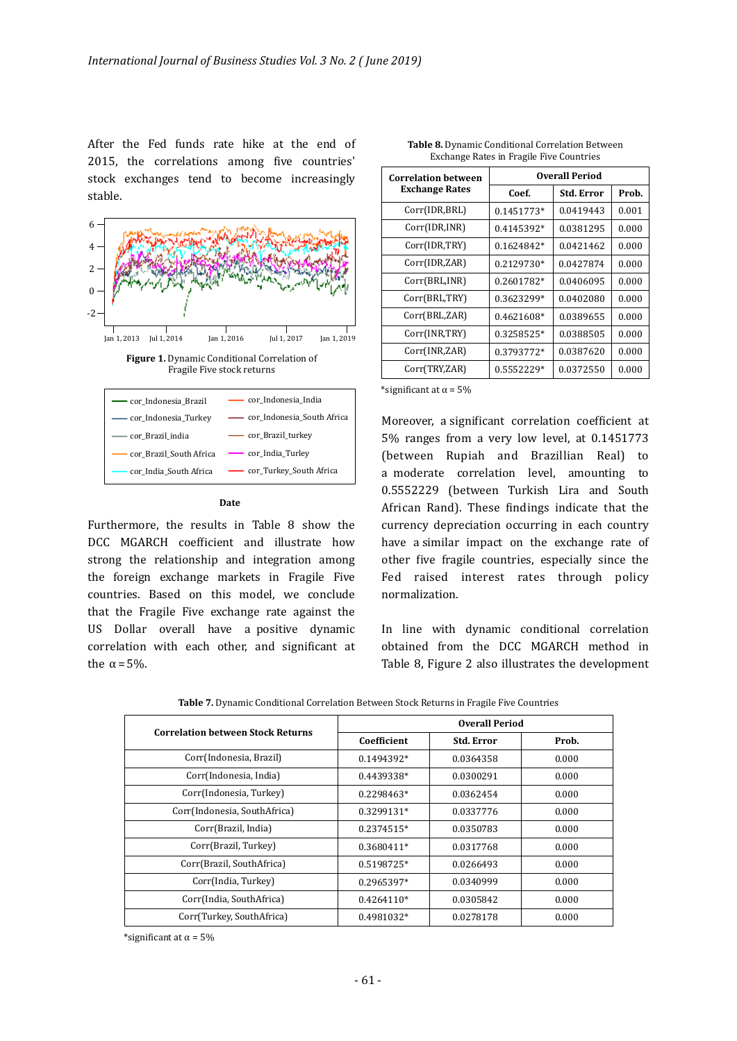After the Fed funds rate hike at the end of 2015, the correlations among five countries' stock exchanges tend to become increasingly stable.



Furthermore, the results in Table 8 show the DCC MGARCH coefficient and illustrate how strong the relationship and integration among the foreign exchange markets in Fragile Five countries. Based on this model, we conclude that the Fragile Five exchange rate against the US Dollar overall have a positive dynamic correlation with each other, and significant at

**Date**

| <b>Correlation between</b> | <b>Overall Period</b> |            |       |
|----------------------------|-----------------------|------------|-------|
| <b>Exchange Rates</b>      | Coef.                 | Std. Error | Prob. |
| Corr(IDR,BRL)              | 0.1451773*            | 0.0419443  | 0.001 |
| Corr(IDR, INR)             | 0.4145392*            | 0.0381295  | 0.000 |
| Corr(IDR,TRY)              | 0.1624842*            | 0.0421462  | 0.000 |
| Corr(IDR,ZAR)              | 0.2129730*            | 0.0427874  | 0.000 |
| Corr(BRL, INR)             | 0.2601782*            | 0.0406095  | 0.000 |
| Corr(BRL,TRY)              | 0.3623299*            | 0.0402080  | 0.000 |
| Corr(BRL,ZAR)              | 0.4621608*            | 0.0389655  | 0.000 |
| Corr(INR,TRY)              | 0.3258525*            | 0.0388505  | 0.000 |
| Corr(INR, ZAR)             | 0.3793772*            | 0.0387620  | 0.000 |
| Corr(TRY,ZAR)              | 0.5552229*            | 0.0372550  | 0.000 |

| Table 8. Dynamic Conditional Correlation Between |  |
|--------------------------------------------------|--|
| Exchange Rates in Fragile Five Countries         |  |

\*significant at  $\alpha$  = 5%

Moreover, a significant correlation coefficient at 5% ranges from a very low level, at 0.1451773 (between Rupiah and Brazillian Real) to a moderate correlation level, amounting to 0.5552229 (between Turkish Lira and South African Rand). These findings indicate that the currency depreciation occurring in each country have a similar impact on the exchange rate of other five fragile countries, especially since the Fed raised interest rates through policy normalization.

In line with dynamic conditional correlation obtained from the DCC MGARCH method in Table 8, Figure 2 also illustrates the development

| <b>Correlation between Stock Returns</b> | <b>Overall Period</b> |                   |       |
|------------------------------------------|-----------------------|-------------------|-------|
|                                          | Coefficient           | <b>Std. Error</b> | Prob. |
| Corr(Indonesia, Brazil)                  | 0.1494392*            | 0.0364358         | 0.000 |
| Corr(Indonesia, India)                   | 0.4439338*            | 0.0300291         | 0.000 |
| Corr(Indonesia, Turkey)                  | 0.2298463*            | 0.0362454         | 0.000 |
| Corr(Indonesia, SouthAfrica)             | 0.3299131*            | 0.0337776         | 0.000 |
| Corr(Brazil, India)                      | $0.2374515*$          | 0.0350783         | 0.000 |
| Corr(Brazil, Turkey)                     | $0.3680411*$          | 0.0317768         | 0.000 |
| Corr(Brazil, SouthAfrica)                | 0.5198725*            | 0.0266493         | 0.000 |
| Corr(India, Turkey)                      | 0.2965397*            | 0.0340999         | 0.000 |
| Corr(India, SouthAfrica)                 | $0.4264110*$          | 0.0305842         | 0.000 |
| Corr(Turkey, SouthAfrica)                | 0.4981032*            | 0.0278178         | 0.000 |

Table 7. Dynamic Conditional Correlation Between Stock Returns in Fragile Five Countries

\*significant at  $\alpha$  = 5%

the  $\alpha$  = 5%.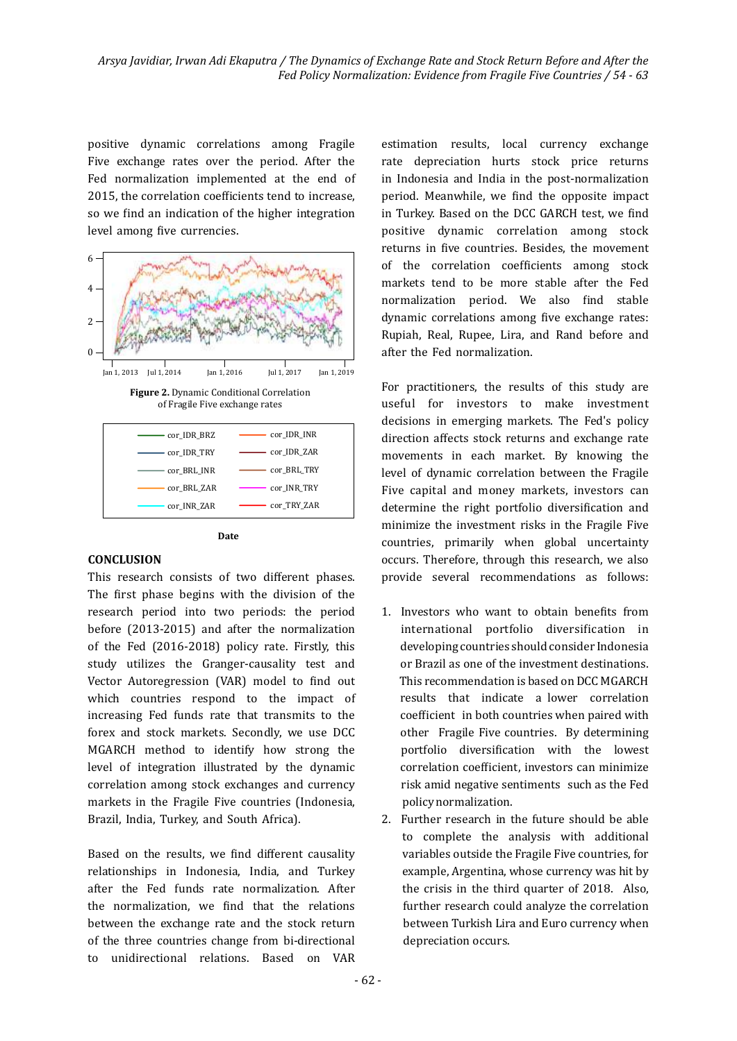positive dynamic correlations among Fragile Five exchange rates over the period. After the Fed normalization implemented at the end of 2015, the correlation coefficients tend to increase, so we find an indication of the higher integration level among five currencies.



**Figure 2.** Dynamic Conditional Correlation of Fragile Five exchange rates





#### **CONCLUSION**

This research consists of two different phases. The first phase begins with the division of the research period into two periods: the period before (2013-2015) and after the normalization of the Fed (2016-2018) policy rate. Firstly, this study utilizes the Granger-causality test and Vector Autoregression (VAR) model to find out which countries respond to the impact of increasing Fed funds rate that transmits to the forex and stock markets. Secondly, we use DCC MGARCH method to identify how strong the level of integration illustrated by the dynamic correlation among stock exchanges and currency markets in the Fragile Five countries (Indonesia, Brazil, India, Turkey, and South Africa).

Based on the results, we find different causality relationships in Indonesia, India, and Turkey after the Fed funds rate normalization. After the normalization, we find that the relations between the exchange rate and the stock return of the three countries change from bi-directional to unidirectional relations. Based on VAR  estimation results, local currency exchange rate depreciation hurts stock price returns in Indonesia and India in the post-normalization period. Meanwhile, we find the opposite impact in Turkey. Based on the DCC GARCH test, we find positive dynamic correlation among stock returns in five countries. Besides, the movement of the correlation coefficients among stock markets tend to be more stable after the Fed normalization period. We also find stable dynamic correlations among five exchange rates: Rupiah, Real, Rupee, Lira, and Rand before and after the Fed normalization.

For practitioners, the results of this study are useful for investors to make investment decisions in emerging markets. The Fed's policy direction affects stock returns and exchange rate movements in each market. By knowing the level of dynamic correlation between the Fragile Five capital and money markets, investors can determine the right portfolio diversification and minimize the investment risks in the Fragile Five countries, primarily when global uncertainty occurs. Therefore, through this research, we also provide several recommendations as follows:

- 1. Investors who want to obtain beneits from international portfolio diversification in developing countries should consider Indonesia or Brazil as one of the investment destinations. This recommendation is based on DCC MGARCH results that indicate a lower correlation coefficient in both countries when paired with other Fragile Five countries. By determining portfolio diversification with the lowest correlation coeficient, investors can minimize risk amid negative sentiments such as the Fed policy normalization.
- 2. Further research in the future should be able to complete the analysis with additional variables outside the Fragile Five countries, for example, Argentina, whose currency was hit by the crisis in the third quarter of  $2018$ . Also, further research could analyze the correlation between Turkish Lira and Euro currency when depreciation occurs.